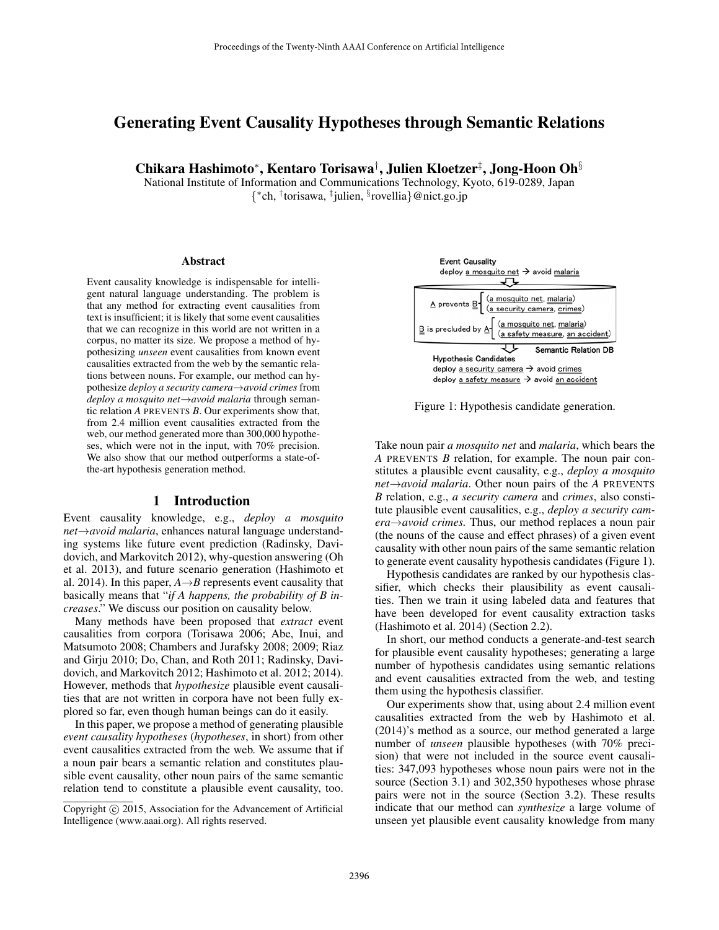# Generating Event Causality Hypotheses through Semantic Relations

Chikara Hashimoto<sup>∗</sup> , Kentaro Torisawa† , Julien Kloetzer‡ , Jong-Hoon Oh§

National Institute of Information and Communications Technology, Kyoto, 619-0289, Japan { ∗ ch, † torisawa, ‡ julien, § rovellia}@nict.go.jp

#### Abstract

Event causality knowledge is indispensable for intelligent natural language understanding. The problem is that any method for extracting event causalities from text is insufficient; it is likely that some event causalities that we can recognize in this world are not written in a corpus, no matter its size. We propose a method of hypothesizing *unseen* event causalities from known event causalities extracted from the web by the semantic relations between nouns. For example, our method can hypothesize *deploy a security camera*→*avoid crimes* from *deploy a mosquito net*→*avoid malaria* through semantic relation *A* PREVENTS *B*. Our experiments show that, from 2.4 million event causalities extracted from the web, our method generated more than 300,000 hypotheses, which were not in the input, with 70% precision. We also show that our method outperforms a state-ofthe-art hypothesis generation method.

#### 1 Introduction

Event causality knowledge, e.g., *deploy a mosquito net*→*avoid malaria*, enhances natural language understanding systems like future event prediction (Radinsky, Davidovich, and Markovitch 2012), why-question answering (Oh et al. 2013), and future scenario generation (Hashimoto et al. 2014). In this paper,  $A \rightarrow B$  represents event causality that basically means that "*if A happens, the probability of B increases*." We discuss our position on causality below.

Many methods have been proposed that *extract* event causalities from corpora (Torisawa 2006; Abe, Inui, and Matsumoto 2008; Chambers and Jurafsky 2008; 2009; Riaz and Girju 2010; Do, Chan, and Roth 2011; Radinsky, Davidovich, and Markovitch 2012; Hashimoto et al. 2012; 2014). However, methods that *hypothesize* plausible event causalities that are not written in corpora have not been fully explored so far, even though human beings can do it easily.

In this paper, we propose a method of generating plausible *event causality hypotheses* (*hypotheses*, in short) from other event causalities extracted from the web. We assume that if a noun pair bears a semantic relation and constitutes plausible event causality, other noun pairs of the same semantic relation tend to constitute a plausible event causality, too.



Figure 1: Hypothesis candidate generation.

Take noun pair *a mosquito net* and *malaria*, which bears the *A* PREVENTS *B* relation, for example. The noun pair constitutes a plausible event causality, e.g., *deploy a mosquito net*→*avoid malaria*. Other noun pairs of the *A* PREVENTS *B* relation, e.g., *a security camera* and *crimes*, also constitute plausible event causalities, e.g., *deploy a security camera*→*avoid crimes.* Thus, our method replaces a noun pair (the nouns of the cause and effect phrases) of a given event causality with other noun pairs of the same semantic relation to generate event causality hypothesis candidates (Figure 1).

Hypothesis candidates are ranked by our hypothesis classifier, which checks their plausibility as event causalities. Then we train it using labeled data and features that have been developed for event causality extraction tasks (Hashimoto et al. 2014) (Section 2.2).

In short, our method conducts a generate-and-test search for plausible event causality hypotheses; generating a large number of hypothesis candidates using semantic relations and event causalities extracted from the web, and testing them using the hypothesis classifier.

Our experiments show that, using about 2.4 million event causalities extracted from the web by Hashimoto et al. (2014)'s method as a source, our method generated a large number of *unseen* plausible hypotheses (with 70% precision) that were not included in the source event causalities: 347,093 hypotheses whose noun pairs were not in the source (Section 3.1) and 302,350 hypotheses whose phrase pairs were not in the source (Section 3.2). These results indicate that our method can *synthesize* a large volume of unseen yet plausible event causality knowledge from many

Copyright  $\odot$  2015, Association for the Advancement of Artificial Intelligence (www.aaai.org). All rights reserved.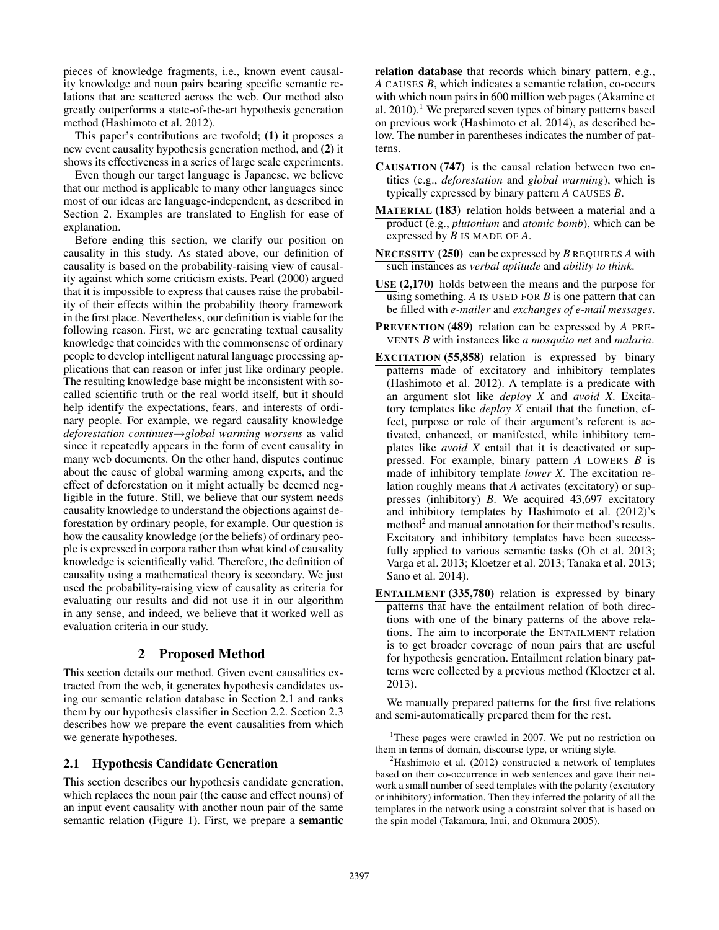pieces of knowledge fragments, i.e., known event causality knowledge and noun pairs bearing specific semantic relations that are scattered across the web. Our method also greatly outperforms a state-of-the-art hypothesis generation method (Hashimoto et al. 2012).

This paper's contributions are twofold; (1) it proposes a new event causality hypothesis generation method, and (2) it shows its effectiveness in a series of large scale experiments.

Even though our target language is Japanese, we believe that our method is applicable to many other languages since most of our ideas are language-independent, as described in Section 2. Examples are translated to English for ease of explanation.

Before ending this section, we clarify our position on causality in this study. As stated above, our definition of causality is based on the probability-raising view of causality against which some criticism exists. Pearl (2000) argued that it is impossible to express that causes raise the probability of their effects within the probability theory framework in the first place. Nevertheless, our definition is viable for the following reason. First, we are generating textual causality knowledge that coincides with the commonsense of ordinary people to develop intelligent natural language processing applications that can reason or infer just like ordinary people. The resulting knowledge base might be inconsistent with socalled scientific truth or the real world itself, but it should help identify the expectations, fears, and interests of ordinary people. For example, we regard causality knowledge *deforestation continues*→*global warming worsens* as valid since it repeatedly appears in the form of event causality in many web documents. On the other hand, disputes continue about the cause of global warming among experts, and the effect of deforestation on it might actually be deemed negligible in the future. Still, we believe that our system needs causality knowledge to understand the objections against deforestation by ordinary people, for example. Our question is how the causality knowledge (or the beliefs) of ordinary people is expressed in corpora rather than what kind of causality knowledge is scientifically valid. Therefore, the definition of causality using a mathematical theory is secondary. We just used the probability-raising view of causality as criteria for evaluating our results and did not use it in our algorithm in any sense, and indeed, we believe that it worked well as evaluation criteria in our study.

# 2 Proposed Method

This section details our method. Given event causalities extracted from the web, it generates hypothesis candidates using our semantic relation database in Section 2.1 and ranks them by our hypothesis classifier in Section 2.2. Section 2.3 describes how we prepare the event causalities from which we generate hypotheses.

# 2.1 Hypothesis Candidate Generation

This section describes our hypothesis candidate generation, which replaces the noun pair (the cause and effect nouns) of an input event causality with another noun pair of the same semantic relation (Figure 1). First, we prepare a semantic relation database that records which binary pattern, e.g., *A* CAUSES *B*, which indicates a semantic relation, co-occurs with which noun pairs in 600 million web pages (Akamine et al.  $2010$ .<sup>1</sup> We prepared seven types of binary patterns based on previous work (Hashimoto et al. 2014), as described below. The number in parentheses indicates the number of patterns.

- CAUSATION (747) is the causal relation between two entities (e.g., *deforestation* and *global warming*), which is typically expressed by binary pattern *A* CAUSES *B*.
- MATERIAL (183) relation holds between a material and a product (e.g., *plutonium* and *atomic bomb*), which can be expressed by *B* IS MADE OF *A*.
- NECESSITY (250) can be expressed by *B* REQUIRES *A* with such instances as *verbal aptitude* and *ability to think*.
- USE (2,170) holds between the means and the purpose for using something. *A* IS USED FOR *B* is one pattern that can be filled with *e-mailer* and *exchanges of e-mail messages*.
- PREVENTION (489) relation can be expressed by *A* PRE-VENTS *B* with instances like *a mosquito net* and *malaria*.
- EXCITATION (55,858) relation is expressed by binary patterns made of excitatory and inhibitory templates (Hashimoto et al. 2012). A template is a predicate with an argument slot like *deploy X* and *avoid X*. Excitatory templates like *deploy X* entail that the function, effect, purpose or role of their argument's referent is activated, enhanced, or manifested, while inhibitory templates like *avoid X* entail that it is deactivated or suppressed. For example, binary pattern *A* LOWERS *B* is made of inhibitory template *lower X*. The excitation relation roughly means that *A* activates (excitatory) or suppresses (inhibitory) *B*. We acquired 43,697 excitatory and inhibitory templates by Hashimoto et al. (2012)'s method<sup>2</sup> and manual annotation for their method's results. Excitatory and inhibitory templates have been successfully applied to various semantic tasks (Oh et al. 2013; Varga et al. 2013; Kloetzer et al. 2013; Tanaka et al. 2013; Sano et al. 2014).
- ENTAILMENT (335,780) relation is expressed by binary patterns that have the entailment relation of both directions with one of the binary patterns of the above relations. The aim to incorporate the ENTAILMENT relation is to get broader coverage of noun pairs that are useful for hypothesis generation. Entailment relation binary patterns were collected by a previous method (Kloetzer et al. 2013).

We manually prepared patterns for the first five relations and semi-automatically prepared them for the rest.

<sup>&</sup>lt;sup>1</sup>These pages were crawled in 2007. We put no restriction on them in terms of domain, discourse type, or writing style.

 ${}^{2}$ Hashimoto et al. (2012) constructed a network of templates based on their co-occurrence in web sentences and gave their network a small number of seed templates with the polarity (excitatory or inhibitory) information. Then they inferred the polarity of all the templates in the network using a constraint solver that is based on the spin model (Takamura, Inui, and Okumura 2005).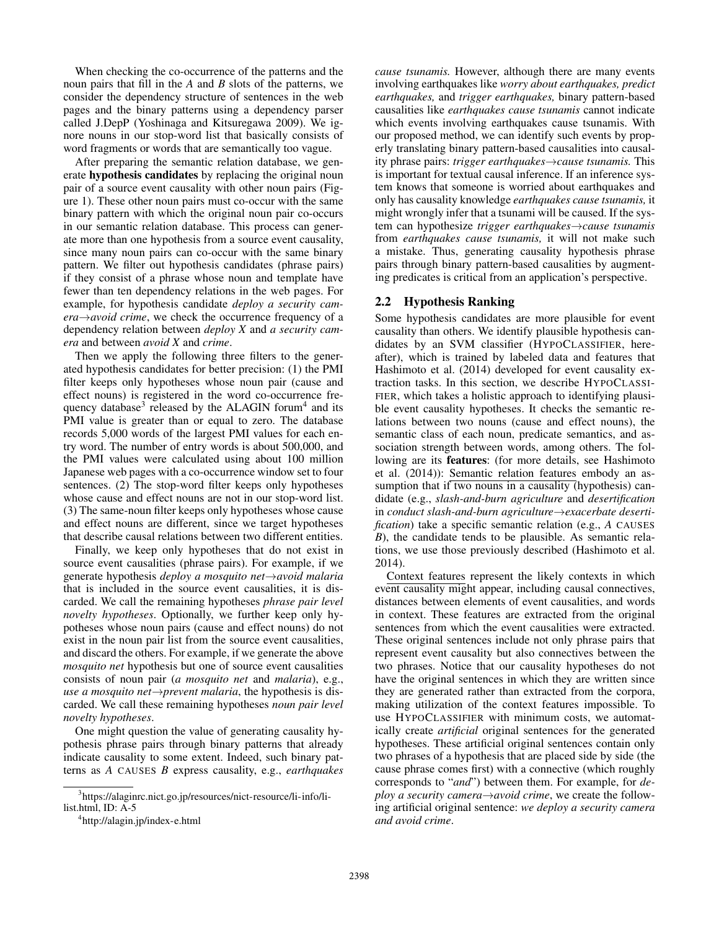When checking the co-occurrence of the patterns and the noun pairs that fill in the *A* and *B* slots of the patterns, we consider the dependency structure of sentences in the web pages and the binary patterns using a dependency parser called J.DepP (Yoshinaga and Kitsuregawa 2009). We ignore nouns in our stop-word list that basically consists of word fragments or words that are semantically too vague.

After preparing the semantic relation database, we generate hypothesis candidates by replacing the original noun pair of a source event causality with other noun pairs (Figure 1). These other noun pairs must co-occur with the same binary pattern with which the original noun pair co-occurs in our semantic relation database. This process can generate more than one hypothesis from a source event causality, since many noun pairs can co-occur with the same binary pattern. We filter out hypothesis candidates (phrase pairs) if they consist of a phrase whose noun and template have fewer than ten dependency relations in the web pages. For example, for hypothesis candidate *deploy a security camera*→*avoid crime*, we check the occurrence frequency of a dependency relation between *deploy X* and *a security camera* and between *avoid X* and *crime*.

Then we apply the following three filters to the generated hypothesis candidates for better precision: (1) the PMI filter keeps only hypotheses whose noun pair (cause and effect nouns) is registered in the word co-occurrence frequency database<sup>3</sup> released by the ALAGIN forum<sup>4</sup> and its PMI value is greater than or equal to zero. The database records 5,000 words of the largest PMI values for each entry word. The number of entry words is about 500,000, and the PMI values were calculated using about 100 million Japanese web pages with a co-occurrence window set to four sentences. (2) The stop-word filter keeps only hypotheses whose cause and effect nouns are not in our stop-word list. (3) The same-noun filter keeps only hypotheses whose cause and effect nouns are different, since we target hypotheses that describe causal relations between two different entities.

Finally, we keep only hypotheses that do not exist in source event causalities (phrase pairs). For example, if we generate hypothesis *deploy a mosquito net*→*avoid malaria* that is included in the source event causalities, it is discarded. We call the remaining hypotheses *phrase pair level novelty hypotheses*. Optionally, we further keep only hypotheses whose noun pairs (cause and effect nouns) do not exist in the noun pair list from the source event causalities, and discard the others. For example, if we generate the above *mosquito net* hypothesis but one of source event causalities consists of noun pair (*a mosquito net* and *malaria*), e.g., *use a mosquito net*→*prevent malaria*, the hypothesis is discarded. We call these remaining hypotheses *noun pair level novelty hypotheses*.

One might question the value of generating causality hypothesis phrase pairs through binary patterns that already indicate causality to some extent. Indeed, such binary patterns as *A* CAUSES *B* express causality, e.g., *earthquakes* *cause tsunamis.* However, although there are many events involving earthquakes like *worry about earthquakes, predict earthquakes,* and *trigger earthquakes,* binary pattern-based causalities like *earthquakes cause tsunamis* cannot indicate which events involving earthquakes cause tsunamis. With our proposed method, we can identify such events by properly translating binary pattern-based causalities into causality phrase pairs: *trigger earthquakes*→*cause tsunamis.* This is important for textual causal inference. If an inference system knows that someone is worried about earthquakes and only has causality knowledge *earthquakes cause tsunamis,* it might wrongly infer that a tsunami will be caused. If the system can hypothesize *trigger earthquakes*→*cause tsunamis* from *earthquakes cause tsunamis,* it will not make such a mistake. Thus, generating causality hypothesis phrase pairs through binary pattern-based causalities by augmenting predicates is critical from an application's perspective.

# 2.2 Hypothesis Ranking

Some hypothesis candidates are more plausible for event causality than others. We identify plausible hypothesis candidates by an SVM classifier (HYPOCLASSIFIER, hereafter), which is trained by labeled data and features that Hashimoto et al. (2014) developed for event causality extraction tasks. In this section, we describe HYPOCLASSI-FIER, which takes a holistic approach to identifying plausible event causality hypotheses. It checks the semantic relations between two nouns (cause and effect nouns), the semantic class of each noun, predicate semantics, and association strength between words, among others. The following are its features: (for more details, see Hashimoto et al. (2014)): Semantic relation features embody an assumption that if two nouns in a causality (hypothesis) candidate (e.g., *slash-and-burn agriculture* and *desertification* in *conduct slash-and-burn agriculture*→*exacerbate desertification*) take a specific semantic relation (e.g., *A* CAUSES *B*), the candidate tends to be plausible. As semantic relations, we use those previously described (Hashimoto et al. 2014).

Context features represent the likely contexts in which event causality might appear, including causal connectives, distances between elements of event causalities, and words in context. These features are extracted from the original sentences from which the event causalities were extracted. These original sentences include not only phrase pairs that represent event causality but also connectives between the two phrases. Notice that our causality hypotheses do not have the original sentences in which they are written since they are generated rather than extracted from the corpora, making utilization of the context features impossible. To use HYPOCLASSIFIER with minimum costs, we automatically create *artificial* original sentences for the generated hypotheses. These artificial original sentences contain only two phrases of a hypothesis that are placed side by side (the cause phrase comes first) with a connective (which roughly corresponds to "*and*") between them. For example, for *deploy a security camera*→*avoid crime*, we create the following artificial original sentence: *we deploy a security camera and avoid crime*.

<sup>3</sup> https://alaginrc.nict.go.jp/resources/nict-resource/li-info/lilist.html, ID: A-5

<sup>4</sup> http://alagin.jp/index-e.html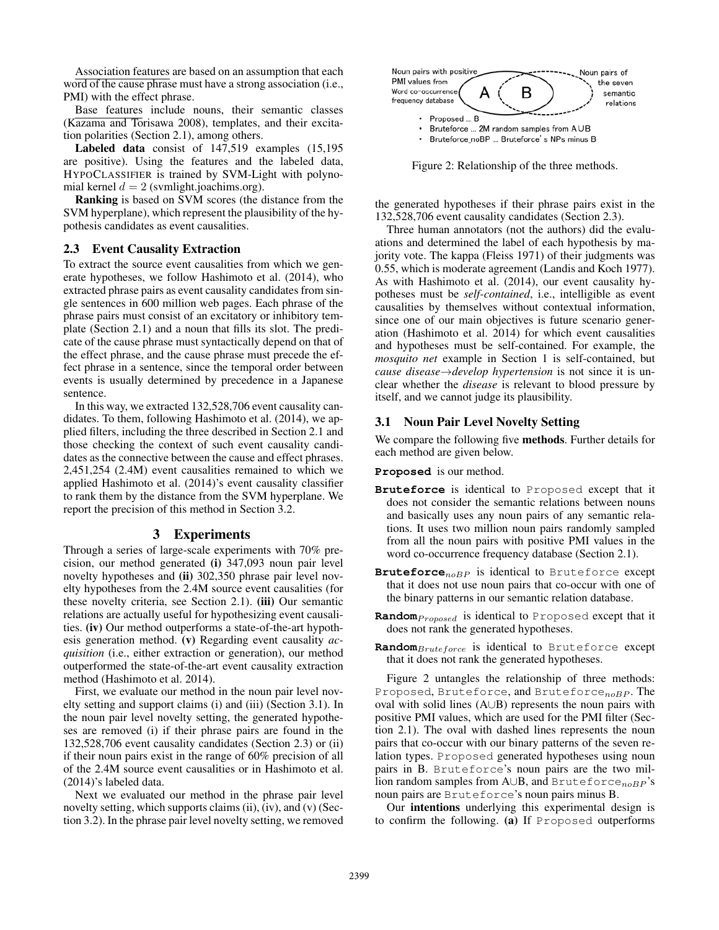Association features are based on an assumption that each word of the cause phrase must have a strong association (i.e., PMI) with the effect phrase.

Base features include nouns, their semantic classes (Kazama and Torisawa 2008), templates, and their excitation polarities (Section 2.1), among others.

Labeled data consist of 147,519 examples (15,195 are positive). Using the features and the labeled data, HYPOCLASSIFIER is trained by SVM-Light with polynomial kernel  $d = 2$  (svmlight.joachims.org).

Ranking is based on SVM scores (the distance from the SVM hyperplane), which represent the plausibility of the hypothesis candidates as event causalities.

### 2.3 Event Causality Extraction

To extract the source event causalities from which we generate hypotheses, we follow Hashimoto et al. (2014), who extracted phrase pairs as event causality candidates from single sentences in 600 million web pages. Each phrase of the phrase pairs must consist of an excitatory or inhibitory template (Section 2.1) and a noun that fills its slot. The predicate of the cause phrase must syntactically depend on that of the effect phrase, and the cause phrase must precede the effect phrase in a sentence, since the temporal order between events is usually determined by precedence in a Japanese sentence.

In this way, we extracted 132,528,706 event causality candidates. To them, following Hashimoto et al. (2014), we applied filters, including the three described in Section 2.1 and those checking the context of such event causality candidates as the connective between the cause and effect phrases. 2,451,254 (2.4M) event causalities remained to which we applied Hashimoto et al. (2014)'s event causality classifier to rank them by the distance from the SVM hyperplane. We report the precision of this method in Section 3.2.

### 3 Experiments

Through a series of large-scale experiments with 70% precision, our method generated (i) 347,093 noun pair level novelty hypotheses and (ii) 302,350 phrase pair level novelty hypotheses from the 2.4M source event causalities (for these novelty criteria, see Section 2.1). (iii) Our semantic relations are actually useful for hypothesizing event causalities. (iv) Our method outperforms a state-of-the-art hypothesis generation method. (v) Regarding event causality *acquisition* (i.e., either extraction or generation), our method outperformed the state-of-the-art event causality extraction method (Hashimoto et al. 2014).

First, we evaluate our method in the noun pair level novelty setting and support claims (i) and (iii) (Section 3.1). In the noun pair level novelty setting, the generated hypotheses are removed (i) if their phrase pairs are found in the 132,528,706 event causality candidates (Section 2.3) or (ii) if their noun pairs exist in the range of 60% precision of all of the 2.4M source event causalities or in Hashimoto et al. (2014)'s labeled data.

Next we evaluated our method in the phrase pair level novelty setting, which supports claims (ii), (iv), and (v) (Section 3.2). In the phrase pair level novelty setting, we removed



Figure 2: Relationship of the three methods.

the generated hypotheses if their phrase pairs exist in the 132,528,706 event causality candidates (Section 2.3).

Three human annotators (not the authors) did the evaluations and determined the label of each hypothesis by majority vote. The kappa (Fleiss 1971) of their judgments was 0.55, which is moderate agreement (Landis and Koch 1977). As with Hashimoto et al. (2014), our event causality hypotheses must be *self-contained*, i.e., intelligible as event causalities by themselves without contextual information, since one of our main objectives is future scenario generation (Hashimoto et al. 2014) for which event causalities and hypotheses must be self-contained. For example, the *mosquito net* example in Section 1 is self-contained, but *cause disease*→*develop hypertension* is not since it is unclear whether the *disease* is relevant to blood pressure by itself, and we cannot judge its plausibility.

#### 3.1 Noun Pair Level Novelty Setting

We compare the following five methods. Further details for each method are given below.

**Proposed** is our method.

- **Bruteforce** is identical to Proposed except that it does not consider the semantic relations between nouns and basically uses any noun pairs of any semantic relations. It uses two million noun pairs randomly sampled from all the noun pairs with positive PMI values in the word co-occurrence frequency database (Section 2.1).
- **Bruteforce**<sub>noBP</sub> is identical to Bruteforce except that it does not use noun pairs that co-occur with one of the binary patterns in our semantic relation database.
- **Random** *Proposed* is identical to Proposed except that it does not rank the generated hypotheses.
- **Random**Bruteforce is identical to Bruteforce except that it does not rank the generated hypotheses.

Figure 2 untangles the relationship of three methods: Proposed, Bruteforce, and Bruteforce $_{noBP}$ . The oval with solid lines (A∪B) represents the noun pairs with positive PMI values, which are used for the PMI filter (Section 2.1). The oval with dashed lines represents the noun pairs that co-occur with our binary patterns of the seven relation types. Proposed generated hypotheses using noun pairs in B. Bruteforce's noun pairs are the two million random samples from A∪B, and Bruteforce<sub>noBP</sub>'s noun pairs are Bruteforce's noun pairs minus B.

Our intentions underlying this experimental design is to confirm the following. (a) If Proposed outperforms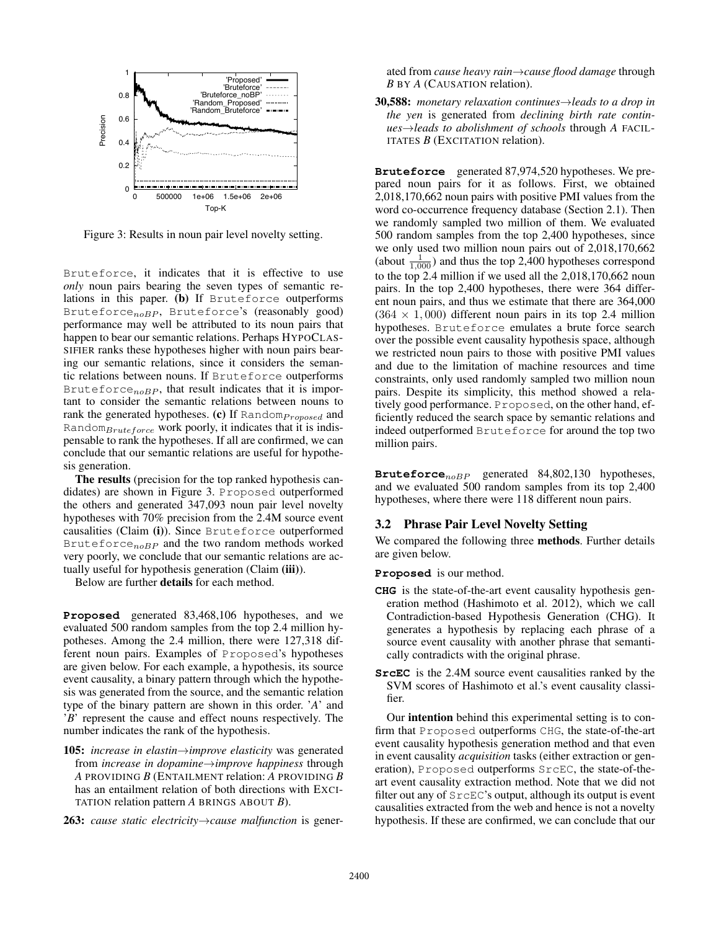

Figure 3: Results in noun pair level novelty setting.

Bruteforce, it indicates that it is effective to use *only* noun pairs bearing the seven types of semantic relations in this paper. (b) If Bruteforce outperforms Bruteforce $_{noBP}$ , Bruteforce's (reasonably good) performance may well be attributed to its noun pairs that happen to bear our semantic relations. Perhaps HYPOCLAS-SIFIER ranks these hypotheses higher with noun pairs bearing our semantic relations, since it considers the semantic relations between nouns. If Bruteforce outperforms Bruteforce $_{noBP}$ , that result indicates that it is important to consider the semantic relations between nouns to rank the generated hypotheses. (c) If  $Random_{Proposed}$  and Random $Bruteforce$  work poorly, it indicates that it is indispensable to rank the hypotheses. If all are confirmed, we can conclude that our semantic relations are useful for hypothesis generation.

The results (precision for the top ranked hypothesis candidates) are shown in Figure 3. Proposed outperformed the others and generated 347,093 noun pair level novelty hypotheses with 70% precision from the 2.4M source event causalities (Claim (i)). Since Bruteforce outperformed Bruteforce<sub>noBP</sub> and the two random methods worked very poorly, we conclude that our semantic relations are actually useful for hypothesis generation (Claim (iii)).

Below are further details for each method.

**Proposed** generated 83,468,106 hypotheses, and we evaluated 500 random samples from the top 2.4 million hypotheses. Among the 2.4 million, there were 127,318 different noun pairs. Examples of Proposed's hypotheses are given below. For each example, a hypothesis, its source event causality, a binary pattern through which the hypothesis was generated from the source, and the semantic relation type of the binary pattern are shown in this order. '*A*' and '*B*' represent the cause and effect nouns respectively. The number indicates the rank of the hypothesis.

- 105: *increase in elastin*→*improve elasticity* was generated from *increase in dopamine*→*improve happiness* through *A* PROVIDING *B* (ENTAILMENT relation: *A* PROVIDING *B* has an entailment relation of both directions with EXCI-TATION relation pattern *A* BRINGS ABOUT *B*).
- 263: *cause static electricity*→*cause malfunction* is gener-

ated from *cause heavy rain*→*cause flood damage* through *B* BY *A* (CAUSATION relation).

30,588: *monetary relaxation continues*→*leads to a drop in the yen* is generated from *declining birth rate continues*→*leads to abolishment of schools* through *A* FACIL-ITATES *B* (EXCITATION relation).

**Bruteforce** generated 87,974,520 hypotheses. We prepared noun pairs for it as follows. First, we obtained 2,018,170,662 noun pairs with positive PMI values from the word co-occurrence frequency database (Section 2.1). Then we randomly sampled two million of them. We evaluated 500 random samples from the top 2,400 hypotheses, since we only used two million noun pairs out of 2,018,170,662 (about  $\frac{1}{1,000}$ ) and thus the top 2,400 hypotheses correspond to the top 2.4 million if we used all the 2,018,170,662 noun pairs. In the top 2,400 hypotheses, there were 364 different noun pairs, and thus we estimate that there are 364,000  $(364 \times 1,000)$  different noun pairs in its top 2.4 million hypotheses. Bruteforce emulates a brute force search over the possible event causality hypothesis space, although we restricted noun pairs to those with positive PMI values and due to the limitation of machine resources and time constraints, only used randomly sampled two million noun pairs. Despite its simplicity, this method showed a relatively good performance. Proposed, on the other hand, efficiently reduced the search space by semantic relations and indeed outperformed Bruteforce for around the top two million pairs.

Bruteforce<sub>noBP</sub> generated 84,802,130 hypotheses, and we evaluated 500 random samples from its top 2,400 hypotheses, where there were 118 different noun pairs.

### 3.2 Phrase Pair Level Novelty Setting

We compared the following three methods. Further details are given below.

**Proposed** is our method.

- **CHG** is the state-of-the-art event causality hypothesis generation method (Hashimoto et al. 2012), which we call Contradiction-based Hypothesis Generation (CHG). It generates a hypothesis by replacing each phrase of a source event causality with another phrase that semantically contradicts with the original phrase.
- **SrcEC** is the 2.4M source event causalities ranked by the SVM scores of Hashimoto et al.'s event causality classifier.

Our intention behind this experimental setting is to confirm that Proposed outperforms CHG, the state-of-the-art event causality hypothesis generation method and that even in event causality *acquisition* tasks (either extraction or generation), Proposed outperforms SrcEC, the state-of-theart event causality extraction method. Note that we did not filter out any of SrcEC's output, although its output is event causalities extracted from the web and hence is not a novelty hypothesis. If these are confirmed, we can conclude that our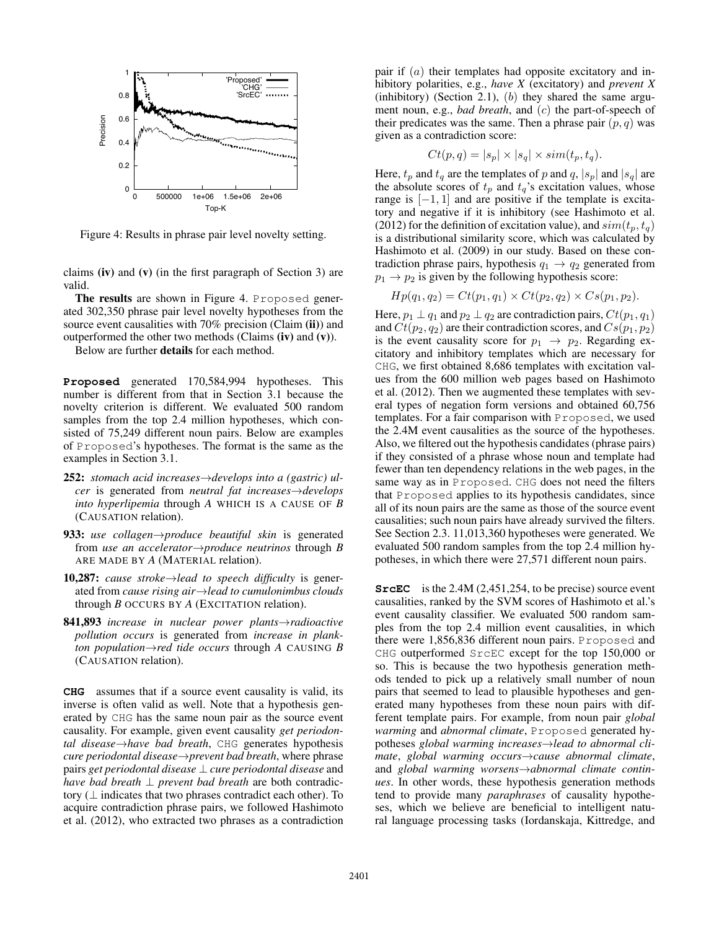

Figure 4: Results in phrase pair level novelty setting.

claims  $(iv)$  and  $(v)$  (in the first paragraph of Section 3) are valid.

The results are shown in Figure 4. Proposed generated 302,350 phrase pair level novelty hypotheses from the source event causalities with  $70\%$  precision (Claim (ii)) and outperformed the other two methods (Claims  $(iv)$ ) and  $(v)$ ).

Below are further details for each method.

**Proposed** generated 170,584,994 hypotheses. This number is different from that in Section 3.1 because the novelty criterion is different. We evaluated 500 random samples from the top 2.4 million hypotheses, which consisted of 75,249 different noun pairs. Below are examples of Proposed's hypotheses. The format is the same as the examples in Section 3.1.

- 252: *stomach acid increases*→*develops into a (gastric) ulcer* is generated from *neutral fat increases*→*develops into hyperlipemia* through *A* WHICH IS A CAUSE OF *B* (CAUSATION relation).
- 933: *use collagen→produce beautiful skin* is generated from *use an accelerator*→*produce neutrinos* through *B* ARE MADE BY *A* (MATERIAL relation).
- 10,287: *cause stroke*→*lead to speech difficulty* is generated from *cause rising air*→*lead to cumulonimbus clouds* through *B* OCCURS BY *A* (EXCITATION relation).
- 841,893 *increase in nuclear power plants*→*radioactive pollution occurs* is generated from *increase in plankton population* $\rightarrow$ *red tide occurs* through *A* CAUSING *B* (CAUSATION relation).

**CHG** assumes that if a source event causality is valid, its inverse is often valid as well. Note that a hypothesis generated by CHG has the same noun pair as the source event causality. For example, given event causality *get periodontal disease*→*have bad breath*, CHG generates hypothesis *cure periodontal disease*→*prevent bad breath*, where phrase pairs *get periodontal disease* ⊥ *cure periodontal disease* and *have bad breath* ⊥ *prevent bad breath* are both contradictory (⊥ indicates that two phrases contradict each other). To acquire contradiction phrase pairs, we followed Hashimoto et al. (2012), who extracted two phrases as a contradiction

pair if  $(a)$  their templates had opposite excitatory and inhibitory polarities, e.g., *have X* (excitatory) and *prevent X* (inhibitory) (Section 2.1),  $(b)$  they shared the same argument noun, e.g., *bad breath*, and (c) the part-of-speech of their predicates was the same. Then a phrase pair  $(p, q)$  was given as a contradiction score:

$$
Ct(p,q) = |s_p| \times |s_q| \times sim(t_p, t_q).
$$

Here,  $t_p$  and  $t_q$  are the templates of p and  $q$ ,  $|s_p|$  and  $|s_q|$  are the absolute scores of  $t_p$  and  $t_q$ 's excitation values, whose range is  $[-1, 1]$  and are positive if the template is excitatory and negative if it is inhibitory (see Hashimoto et al. (2012) for the definition of excitation value), and  $sim(t_p, t_q)$ is a distributional similarity score, which was calculated by Hashimoto et al. (2009) in our study. Based on these contradiction phrase pairs, hypothesis  $q_1 \rightarrow q_2$  generated from  $p_1 \rightarrow p_2$  is given by the following hypothesis score:

$$
Hp(q_1, q_2) = Ct(p_1, q_1) \times Ct(p_2, q_2) \times Cs(p_1, p_2).
$$

Here,  $p_1 \perp q_1$  and  $p_2 \perp q_2$  are contradiction pairs,  $Ct(p_1, q_1)$ and  $Ct(p_2, q_2)$  are their contradiction scores, and  $Cs(p_1, p_2)$ is the event causality score for  $p_1 \rightarrow p_2$ . Regarding excitatory and inhibitory templates which are necessary for CHG, we first obtained 8,686 templates with excitation values from the 600 million web pages based on Hashimoto et al. (2012). Then we augmented these templates with several types of negation form versions and obtained 60,756 templates. For a fair comparison with Proposed, we used the 2.4M event causalities as the source of the hypotheses. Also, we filtered out the hypothesis candidates (phrase pairs) if they consisted of a phrase whose noun and template had fewer than ten dependency relations in the web pages, in the same way as in Proposed. CHG does not need the filters that Proposed applies to its hypothesis candidates, since all of its noun pairs are the same as those of the source event causalities; such noun pairs have already survived the filters. See Section 2.3. 11,013,360 hypotheses were generated. We evaluated 500 random samples from the top 2.4 million hypotheses, in which there were 27,571 different noun pairs.

**SrcEC** is the 2.4M (2,451,254, to be precise) source event causalities, ranked by the SVM scores of Hashimoto et al.'s event causality classifier. We evaluated 500 random samples from the top 2.4 million event causalities, in which there were 1,856,836 different noun pairs. Proposed and CHG outperformed SrcEC except for the top 150,000 or so. This is because the two hypothesis generation methods tended to pick up a relatively small number of noun pairs that seemed to lead to plausible hypotheses and generated many hypotheses from these noun pairs with different template pairs. For example, from noun pair *global warming* and *abnormal climate*, Proposed generated hypotheses *global warming increases*→*lead to abnormal climate*, *global warming occurs*→*cause abnormal climate*, and *global warming worsens*→*abnormal climate continues*. In other words, these hypothesis generation methods tend to provide many *paraphrases* of causality hypotheses, which we believe are beneficial to intelligent natural language processing tasks (Iordanskaja, Kittredge, and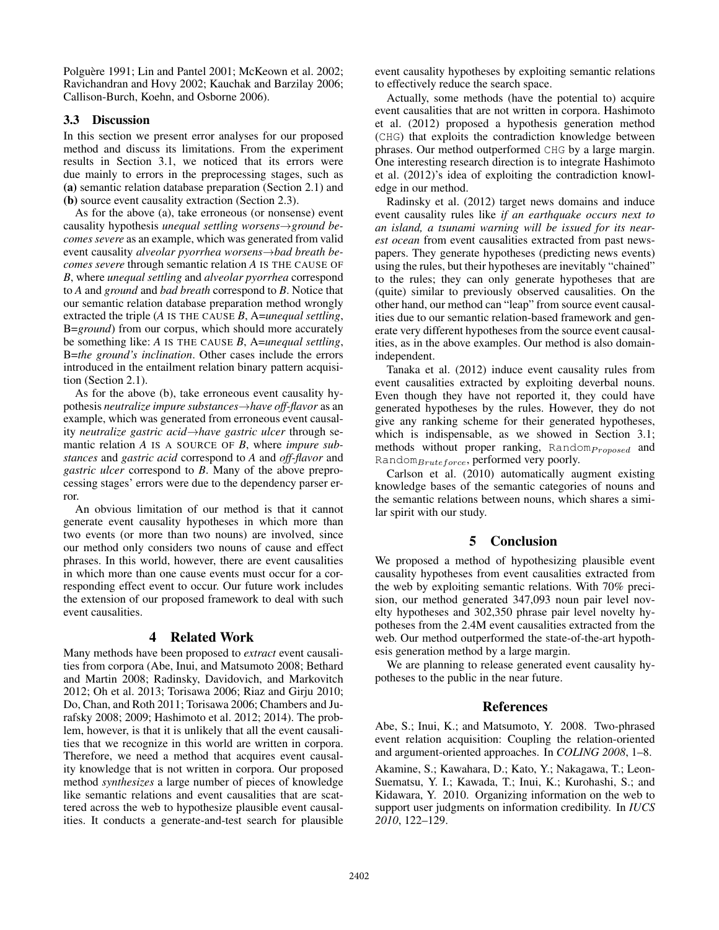Polguère 1991; Lin and Pantel 2001; McKeown et al. 2002; Ravichandran and Hovy 2002; Kauchak and Barzilay 2006; Callison-Burch, Koehn, and Osborne 2006).

### 3.3 Discussion

In this section we present error analyses for our proposed method and discuss its limitations. From the experiment results in Section 3.1, we noticed that its errors were due mainly to errors in the preprocessing stages, such as (a) semantic relation database preparation (Section 2.1) and (b) source event causality extraction (Section 2.3).

As for the above (a), take erroneous (or nonsense) event causality hypothesis *unequal settling worsens*→*ground becomes severe* as an example, which was generated from valid event causality *alveolar pyorrhea worsens*→*bad breath becomes severe* through semantic relation *A* IS THE CAUSE OF *B*, where *unequal settling* and *alveolar pyorrhea* correspond to *A* and *ground* and *bad breath* correspond to *B*. Notice that our semantic relation database preparation method wrongly extracted the triple (*A* IS THE CAUSE *B*, A=*unequal settling*, B=*ground*) from our corpus, which should more accurately be something like: *A* IS THE CAUSE *B*, A=*unequal settling*, B=*the ground's inclination*. Other cases include the errors introduced in the entailment relation binary pattern acquisition (Section 2.1).

As for the above (b), take erroneous event causality hypothesis *neutralize impure substances*→*have off-flavor* as an example, which was generated from erroneous event causality *neutralize gastric acid*→*have gastric ulcer* through semantic relation *A* IS A SOURCE OF *B*, where *impure substances* and *gastric acid* correspond to *A* and *off-flavor* and *gastric ulcer* correspond to *B*. Many of the above preprocessing stages' errors were due to the dependency parser error.

An obvious limitation of our method is that it cannot generate event causality hypotheses in which more than two events (or more than two nouns) are involved, since our method only considers two nouns of cause and effect phrases. In this world, however, there are event causalities in which more than one cause events must occur for a corresponding effect event to occur. Our future work includes the extension of our proposed framework to deal with such event causalities.

# 4 Related Work

Many methods have been proposed to *extract* event causalities from corpora (Abe, Inui, and Matsumoto 2008; Bethard and Martin 2008; Radinsky, Davidovich, and Markovitch 2012; Oh et al. 2013; Torisawa 2006; Riaz and Girju 2010; Do, Chan, and Roth 2011; Torisawa 2006; Chambers and Jurafsky 2008; 2009; Hashimoto et al. 2012; 2014). The problem, however, is that it is unlikely that all the event causalities that we recognize in this world are written in corpora. Therefore, we need a method that acquires event causality knowledge that is not written in corpora. Our proposed method *synthesizes* a large number of pieces of knowledge like semantic relations and event causalities that are scattered across the web to hypothesize plausible event causalities. It conducts a generate-and-test search for plausible event causality hypotheses by exploiting semantic relations to effectively reduce the search space.

Actually, some methods (have the potential to) acquire event causalities that are not written in corpora. Hashimoto et al. (2012) proposed a hypothesis generation method (CHG) that exploits the contradiction knowledge between phrases. Our method outperformed CHG by a large margin. One interesting research direction is to integrate Hashimoto et al. (2012)'s idea of exploiting the contradiction knowledge in our method.

Radinsky et al. (2012) target news domains and induce event causality rules like *if an earthquake occurs next to an island, a tsunami warning will be issued for its nearest ocean* from event causalities extracted from past newspapers. They generate hypotheses (predicting news events) using the rules, but their hypotheses are inevitably "chained" to the rules; they can only generate hypotheses that are (quite) similar to previously observed causalities. On the other hand, our method can "leap" from source event causalities due to our semantic relation-based framework and generate very different hypotheses from the source event causalities, as in the above examples. Our method is also domainindependent.

Tanaka et al. (2012) induce event causality rules from event causalities extracted by exploiting deverbal nouns. Even though they have not reported it, they could have generated hypotheses by the rules. However, they do not give any ranking scheme for their generated hypotheses, which is indispensable, as we showed in Section 3.1; methods without proper ranking,  $Random_{proposed}$  and Random $Bruteforce$ , performed very poorly.

Carlson et al. (2010) automatically augment existing knowledge bases of the semantic categories of nouns and the semantic relations between nouns, which shares a similar spirit with our study.

# 5 Conclusion

We proposed a method of hypothesizing plausible event causality hypotheses from event causalities extracted from the web by exploiting semantic relations. With 70% precision, our method generated 347,093 noun pair level novelty hypotheses and 302,350 phrase pair level novelty hypotheses from the 2.4M event causalities extracted from the web. Our method outperformed the state-of-the-art hypothesis generation method by a large margin.

We are planning to release generated event causality hypotheses to the public in the near future.

# References

Abe, S.; Inui, K.; and Matsumoto, Y. 2008. Two-phrased event relation acquisition: Coupling the relation-oriented and argument-oriented approaches. In *COLING 2008*, 1–8.

Akamine, S.; Kawahara, D.; Kato, Y.; Nakagawa, T.; Leon-Suematsu, Y. I.; Kawada, T.; Inui, K.; Kurohashi, S.; and Kidawara, Y. 2010. Organizing information on the web to support user judgments on information credibility. In *IUCS 2010*, 122–129.